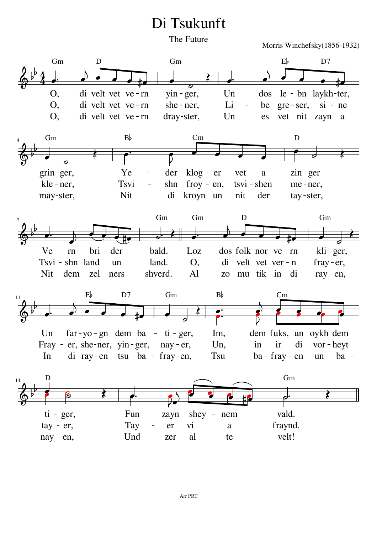## Di Tsukunft

The Future

Morris Winchefsky(1856-1932)